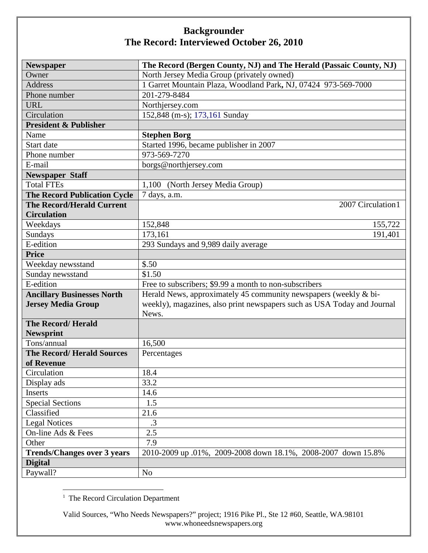| <b>Newspaper</b>                    | The Record (Bergen County, NJ) and The Herald (Passaic County, NJ)      |
|-------------------------------------|-------------------------------------------------------------------------|
| Owner                               | North Jersey Media Group (privately owned)                              |
| <b>Address</b>                      | 1 Garret Mountain Plaza, Woodland Park, NJ, 07424 973-569-7000          |
| Phone number                        | 201-279-8484                                                            |
| <b>URL</b>                          | Northjersey.com                                                         |
| Circulation                         | 152,848 (m-s); 173,161 Sunday                                           |
| <b>President &amp; Publisher</b>    |                                                                         |
| Name                                | <b>Stephen Borg</b>                                                     |
| Start date                          | Started 1996, became publisher in 2007                                  |
| Phone number                        | 973-569-7270                                                            |
| E-mail                              | borgs@northjersey.com                                                   |
| <b>Newspaper Staff</b>              |                                                                         |
| <b>Total FTEs</b>                   | 1,100<br>(North Jersey Media Group)                                     |
| <b>The Record Publication Cycle</b> | 7 days, a.m.                                                            |
| <b>The Record/Herald Current</b>    | 2007 Circulation1                                                       |
| <b>Circulation</b>                  |                                                                         |
| Weekdays                            | 152,848<br>155,722                                                      |
| Sundays                             | 173,161<br>191,401                                                      |
| E-edition                           | 293 Sundays and 9,989 daily average                                     |
| <b>Price</b>                        |                                                                         |
| Weekday newsstand                   | \$.50                                                                   |
| Sunday newsstand                    | \$1.50                                                                  |
| E-edition                           | Free to subscribers; \$9.99 a month to non-subscribers                  |
| <b>Ancillary Businesses North</b>   | Herald News, approximately 45 community newspapers (weekly & bi-        |
| <b>Jersey Media Group</b>           | weekly), magazines, also print newspapers such as USA Today and Journal |
|                                     | News.                                                                   |
| <b>The Record/Herald</b>            |                                                                         |
| <b>Newsprint</b>                    |                                                                         |
| Tons/annual                         | 16,500                                                                  |
| <b>The Record/Herald Sources</b>    | Percentages                                                             |
| of Revenue                          |                                                                         |
| Circulation                         | 18.4                                                                    |
| Display ads                         | 33.2                                                                    |
| Inserts                             | 14.6                                                                    |
| <b>Special Sections</b>             | 1.5                                                                     |
| Classified                          | 21.6                                                                    |
| <b>Legal Notices</b>                | $\cdot$ 3                                                               |
| On-line Ads & Fees                  | 2.5                                                                     |
| Other                               | 7.9                                                                     |
| <b>Trends/Changes over 3 years</b>  | 2010-2009 up .01%, 2009-2008 down 18.1%, 2008-2007 down 15.8%           |
| <b>Digital</b>                      |                                                                         |
| Paywall?                            | N <sub>o</sub>                                                          |

<span id="page-0-0"></span> $\frac{1}{1}$  $<sup>1</sup>$  The Record Circulation Department</sup>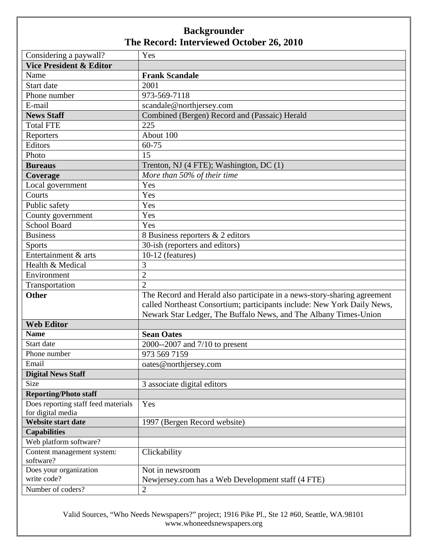| Considering a paywall?              | Yes                                                                      |
|-------------------------------------|--------------------------------------------------------------------------|
| <b>Vice President &amp; Editor</b>  |                                                                          |
| Name                                | <b>Frank Scandale</b>                                                    |
| Start date                          | 2001                                                                     |
| Phone number                        | 973-569-7118                                                             |
| E-mail                              | scandale@northjersey.com                                                 |
| <b>News Staff</b>                   | Combined (Bergen) Record and (Passaic) Herald                            |
| <b>Total FTE</b>                    | 225                                                                      |
| Reporters                           | About 100                                                                |
| Editors                             | 60-75                                                                    |
| Photo                               | 15                                                                       |
| <b>Bureaus</b>                      | Trenton, NJ (4 FTE); Washington, DC (1)                                  |
| Coverage                            | More than 50% of their time                                              |
| Local government                    | Yes                                                                      |
| Courts                              | Yes                                                                      |
| Public safety                       | Yes                                                                      |
| County government                   | Yes                                                                      |
| <b>School Board</b>                 | Yes                                                                      |
| <b>Business</b>                     | 8 Business reporters & 2 editors                                         |
| <b>Sports</b>                       | 30-ish (reporters and editors)                                           |
| Entertainment & arts                | 10-12 (features)                                                         |
| Health & Medical                    | 3                                                                        |
| Environment                         | $\overline{2}$                                                           |
| Transportation                      | $\overline{2}$                                                           |
| <b>Other</b>                        | The Record and Herald also participate in a news-story-sharing agreement |
|                                     | called Northeast Consortium; participants include: New York Daily News,  |
|                                     | Newark Star Ledger, The Buffalo News, and The Albany Times-Union         |
| <b>Web Editor</b>                   |                                                                          |
| <b>Name</b>                         | <b>Sean Oates</b>                                                        |
| Start date                          | 2000--2007 and 7/10 to present                                           |
| Phone number                        | 973 569 7159                                                             |
| Email                               | oates@northjersey.com                                                    |
| <b>Digital News Staff</b>           |                                                                          |
| Size                                | 3 associate digital editors                                              |
| <b>Reporting/Photo staff</b>        |                                                                          |
| Does reporting staff feed materials | Yes                                                                      |
| for digital media                   |                                                                          |
| <b>Website start date</b>           | 1997 (Bergen Record website)                                             |
| <b>Capabilities</b>                 |                                                                          |
| Web platform software?              |                                                                          |
| Content management system:          | Clickability                                                             |
| software?<br>Does your organization |                                                                          |
| write code?                         | Not in newsroom<br>Newjersey.com has a Web Development staff (4 FTE)     |
|                                     |                                                                          |
| Number of coders?                   | $\overline{2}$                                                           |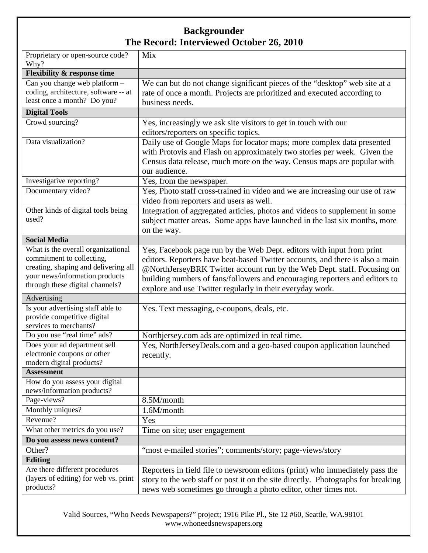| Proprietary or open-source code?<br>Why?                                                                                                                                     | Mix                                                                                                                                                                                                                                                                                                                                                                           |
|------------------------------------------------------------------------------------------------------------------------------------------------------------------------------|-------------------------------------------------------------------------------------------------------------------------------------------------------------------------------------------------------------------------------------------------------------------------------------------------------------------------------------------------------------------------------|
| <b>Flexibility &amp; response time</b>                                                                                                                                       |                                                                                                                                                                                                                                                                                                                                                                               |
| Can you change web platform -<br>coding, architecture, software -- at<br>least once a month? Do you?                                                                         | We can but do not change significant pieces of the "desktop" web site at a<br>rate of once a month. Projects are prioritized and executed according to<br>business needs.                                                                                                                                                                                                     |
| <b>Digital Tools</b>                                                                                                                                                         |                                                                                                                                                                                                                                                                                                                                                                               |
| Crowd sourcing?                                                                                                                                                              | Yes, increasingly we ask site visitors to get in touch with our<br>editors/reporters on specific topics.                                                                                                                                                                                                                                                                      |
| Data visualization?                                                                                                                                                          | Daily use of Google Maps for locator maps; more complex data presented<br>with Protovis and Flash on approximately two stories per week. Given the<br>Census data release, much more on the way. Census maps are popular with<br>our audience.                                                                                                                                |
| Investigative reporting?                                                                                                                                                     | Yes, from the newspaper.                                                                                                                                                                                                                                                                                                                                                      |
| Documentary video?                                                                                                                                                           | Yes, Photo staff cross-trained in video and we are increasing our use of raw<br>video from reporters and users as well.                                                                                                                                                                                                                                                       |
| Other kinds of digital tools being<br>used?                                                                                                                                  | Integration of aggregated articles, photos and videos to supplement in some<br>subject matter areas. Some apps have launched in the last six months, more<br>on the way.                                                                                                                                                                                                      |
| <b>Social Media</b>                                                                                                                                                          |                                                                                                                                                                                                                                                                                                                                                                               |
| What is the overall organizational<br>commitment to collecting,<br>creating, shaping and delivering all<br>your news/information products<br>through these digital channels? | Yes, Facebook page run by the Web Dept. editors with input from print<br>editors. Reporters have beat-based Twitter accounts, and there is also a main<br>@NorthJerseyBRK Twitter account run by the Web Dept. staff. Focusing on<br>building numbers of fans/followers and encouraging reporters and editors to<br>explore and use Twitter regularly in their everyday work. |
| Advertising                                                                                                                                                                  |                                                                                                                                                                                                                                                                                                                                                                               |
| Is your advertising staff able to<br>provide competitive digital<br>services to merchants?                                                                                   | Yes. Text messaging, e-coupons, deals, etc.                                                                                                                                                                                                                                                                                                                                   |
| Do you use "real time" ads?                                                                                                                                                  | Northjersey.com ads are optimized in real time.                                                                                                                                                                                                                                                                                                                               |
| Does your ad department sell<br>electronic coupons or other<br>modern digital products?                                                                                      | Yes, NorthJerseyDeals.com and a geo-based coupon application launched<br>recently.                                                                                                                                                                                                                                                                                            |
| <b>Assessment</b>                                                                                                                                                            |                                                                                                                                                                                                                                                                                                                                                                               |
| How do you assess your digital<br>news/information products?                                                                                                                 |                                                                                                                                                                                                                                                                                                                                                                               |
| Page-views?                                                                                                                                                                  | 8.5M/month                                                                                                                                                                                                                                                                                                                                                                    |
| Monthly uniques?                                                                                                                                                             | 1.6M/month                                                                                                                                                                                                                                                                                                                                                                    |
| Revenue?                                                                                                                                                                     | Yes                                                                                                                                                                                                                                                                                                                                                                           |
| What other metrics do you use?                                                                                                                                               | Time on site; user engagement                                                                                                                                                                                                                                                                                                                                                 |
| Do you assess news content?                                                                                                                                                  |                                                                                                                                                                                                                                                                                                                                                                               |
| Other?                                                                                                                                                                       | "most e-mailed stories"; comments/story; page-views/story                                                                                                                                                                                                                                                                                                                     |
| <b>Editing</b>                                                                                                                                                               |                                                                                                                                                                                                                                                                                                                                                                               |
| Are there different procedures<br>(layers of editing) for web vs. print<br>products?                                                                                         | Reporters in field file to newsroom editors (print) who immediately pass the<br>story to the web staff or post it on the site directly. Photographs for breaking<br>news web sometimes go through a photo editor, other times not.                                                                                                                                            |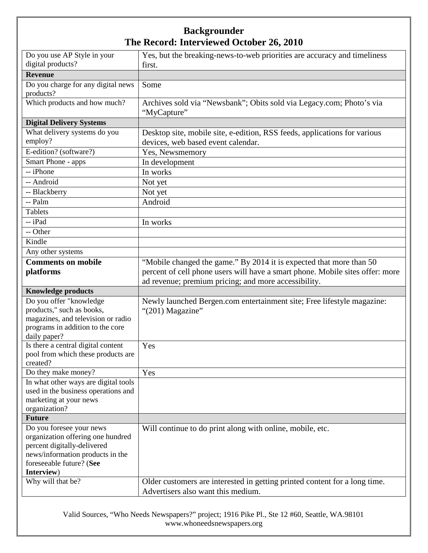|                                                                 | Yes, but the breaking-news-to-web priorities are accuracy and timeliness      |
|-----------------------------------------------------------------|-------------------------------------------------------------------------------|
| Do you use AP Style in your<br>digital products?                | first.                                                                        |
| <b>Revenue</b>                                                  |                                                                               |
| Do you charge for any digital news                              | Some                                                                          |
| products?                                                       |                                                                               |
| Which products and how much?                                    | Archives sold via "Newsbank"; Obits sold via Legacy.com; Photo's via          |
|                                                                 | "MyCapture"                                                                   |
| <b>Digital Delivery Systems</b>                                 |                                                                               |
| What delivery systems do you                                    | Desktop site, mobile site, e-edition, RSS feeds, applications for various     |
| employ?                                                         | devices, web based event calendar.                                            |
| E-edition? (software?)                                          | Yes, Newsmemory                                                               |
| Smart Phone - apps                                              | In development                                                                |
| -- iPhone                                                       | In works                                                                      |
| -- Android                                                      | Not yet                                                                       |
| -- Blackberry                                                   |                                                                               |
| -- Palm                                                         | Not yet                                                                       |
|                                                                 | Android                                                                       |
| <b>Tablets</b>                                                  |                                                                               |
| -- iPad                                                         | In works                                                                      |
| -- Other                                                        |                                                                               |
| Kindle                                                          |                                                                               |
| Any other systems                                               |                                                                               |
| <b>Comments on mobile</b>                                       | "Mobile changed the game." By 2014 it is expected that more than 50           |
| platforms                                                       | percent of cell phone users will have a smart phone. Mobile sites offer: more |
|                                                                 | ad revenue; premium pricing; and more accessibility.                          |
| <b>Knowledge products</b>                                       |                                                                               |
| Do you offer "knowledge                                         | Newly launched Bergen.com entertainment site; Free lifestyle magazine:        |
| products," such as books,                                       | "(201) Magazine"                                                              |
|                                                                 |                                                                               |
| magazines, and television or radio                              |                                                                               |
| programs in addition to the core                                |                                                                               |
| daily paper?                                                    |                                                                               |
| Is there a central digital content                              | Yes                                                                           |
| pool from which these products are                              |                                                                               |
| created?                                                        |                                                                               |
| Do they make money?                                             | Yes                                                                           |
| In what other ways are digital tools                            |                                                                               |
| used in the business operations and                             |                                                                               |
| marketing at your news                                          |                                                                               |
| organization?                                                   |                                                                               |
| <b>Future</b>                                                   |                                                                               |
| Do you foresee your news                                        | Will continue to do print along with online, mobile, etc.                     |
| organization offering one hundred                               |                                                                               |
| percent digitally-delivered<br>news/information products in the |                                                                               |
| foreseeable future? (See                                        |                                                                               |
| Interview)                                                      |                                                                               |
| Why will that be?                                               | Older customers are interested in getting printed content for a long time.    |